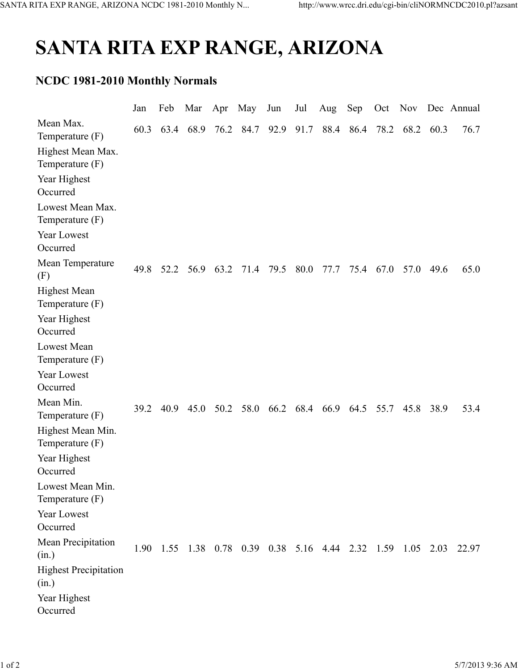## SANTA RITA EXP RANGE, ARIZONA

## NCDC 1981-2010 Monthly Normals

|                                         | Jan  | Feb  | Mar       | Apr       | May                                                         | Jun                           | Jul  | Aug  | Sep | Oct       |                          |      | Nov Dec Annual |
|-----------------------------------------|------|------|-----------|-----------|-------------------------------------------------------------|-------------------------------|------|------|-----|-----------|--------------------------|------|----------------|
| Mean Max.<br>Temperature $(F)$          | 60.3 |      | 63.4 68.9 | 76.2      | 84.7                                                        | 92.9 91.7                     |      |      |     |           | 88.4 86.4 78.2 68.2 60.3 |      | 76.7           |
| Highest Mean Max.<br>Temperature $(F)$  |      |      |           |           |                                                             |                               |      |      |     |           |                          |      |                |
| Year Highest<br>Occurred                |      |      |           |           |                                                             |                               |      |      |     |           |                          |      |                |
| Lowest Mean Max.<br>Temperature $(F)$   |      |      |           |           |                                                             |                               |      |      |     |           |                          |      |                |
| <b>Year Lowest</b><br>Occurred          |      |      |           |           |                                                             |                               |      |      |     |           |                          |      |                |
| Mean Temperature<br>(F)                 | 49.8 | 52.2 |           | 56.9 63.2 | 71.4                                                        | 79.5                          | 80.0 | 77.7 |     | 75.4 67.0 | 57.0                     | 49.6 | 65.0           |
| <b>Highest Mean</b><br>Temperature (F)  |      |      |           |           |                                                             |                               |      |      |     |           |                          |      |                |
| Year Highest<br>Occurred                |      |      |           |           |                                                             |                               |      |      |     |           |                          |      |                |
| <b>Lowest Mean</b><br>Temperature $(F)$ |      |      |           |           |                                                             |                               |      |      |     |           |                          |      |                |
| <b>Year Lowest</b><br>Occurred          |      |      |           |           |                                                             |                               |      |      |     |           |                          |      |                |
| Mean Min.<br>Temperature $(F)$          | 39.2 | 40.9 | 45.0      | 50.2      |                                                             | 58.0 66.2 68.4 66.9 64.5 55.7 |      |      |     |           | 45.8                     | 38.9 | 53.4           |
| Highest Mean Min.<br>Temperature $(F)$  |      |      |           |           |                                                             |                               |      |      |     |           |                          |      |                |
| Year Highest<br>Occurred                |      |      |           |           |                                                             |                               |      |      |     |           |                          |      |                |
| Lowest Mean Min.<br>Temperature $(F)$   |      |      |           |           |                                                             |                               |      |      |     |           |                          |      |                |
| Year Lowest<br>Occurred                 |      |      |           |           |                                                             |                               |      |      |     |           |                          |      |                |
| Mean Precipitation<br>(in.)             |      |      |           |           | 1.90 1.55 1.38 0.78 0.39 0.38 5.16 4.44 2.32 1.59 1.05 2.03 |                               |      |      |     |           |                          |      | 22.97          |
| <b>Highest Precipitation</b><br>(in.)   |      |      |           |           |                                                             |                               |      |      |     |           |                          |      |                |
| Year Highest<br>Occurred                |      |      |           |           |                                                             |                               |      |      |     |           |                          |      |                |